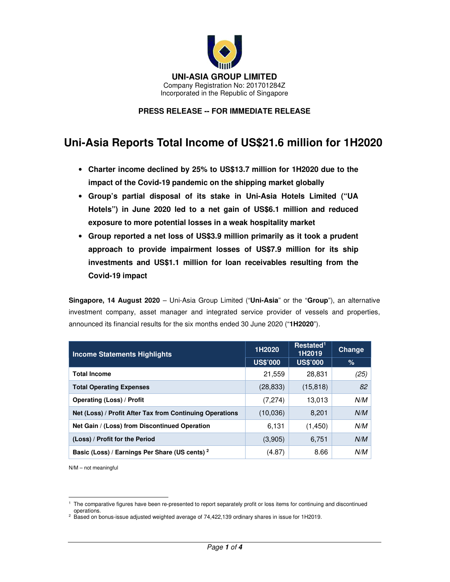

## **PRESS RELEASE -- FOR IMMEDIATE RELEASE**

# **Uni-Asia Reports Total Income of US\$21.6 million for 1H2020**

- **Charter income declined by 25% to US\$13.7 million for 1H2020 due to the impact of the Covid-19 pandemic on the shipping market globally**
- **Group's partial disposal of its stake in Uni-Asia Hotels Limited ("UA Hotels") in June 2020 led to a net gain of US\$6.1 million and reduced exposure to more potential losses in a weak hospitality market**
- **Group reported a net loss of US\$3.9 million primarily as it took a prudent approach to provide impairment losses of US\$7.9 million for its ship investments and US\$1.1 million for loan receivables resulting from the Covid-19 impact**

**Singapore, 14 August 2020** – Uni-Asia Group Limited ("**Uni-Asia**" or the "**Group**"), an alternative investment company, asset manager and integrated service provider of vessels and properties, announced its financial results for the six months ended 30 June 2020 ("**1H2020**").

| <b>Income Statements Highlights</b>                       | 1H2020          | Restated <sup>1</sup><br>1H2019 | Change |
|-----------------------------------------------------------|-----------------|---------------------------------|--------|
|                                                           | <b>US\$'000</b> | <b>US\$'000</b>                 | %      |
| <b>Total Income</b>                                       | 21,559          | 28,831                          | (25)   |
| <b>Total Operating Expenses</b>                           | (28, 833)       | (15, 818)                       | 82     |
| Operating (Loss) / Profit                                 | (7, 274)        | 13,013                          | N/M    |
| Net (Loss) / Profit After Tax from Continuing Operations  | (10,036)        | 8,201                           | N/M    |
| Net Gain / (Loss) from Discontinued Operation             | 6,131           | (1,450)                         | N/M    |
| (Loss) / Profit for the Period                            | (3,905)         | 6,751                           | N/M    |
| Basic (Loss) / Earnings Per Share (US cents) <sup>2</sup> | (4.87)          | 8.66                            | N/M    |

N/M – not meaningful

<sup>1</sup> The comparative figures have been re-presented to report separately profit or loss items for continuing and discontinued operations.

<sup>2</sup> Based on bonus-issue adjusted weighted average of 74,422,139 ordinary shares in issue for 1H2019.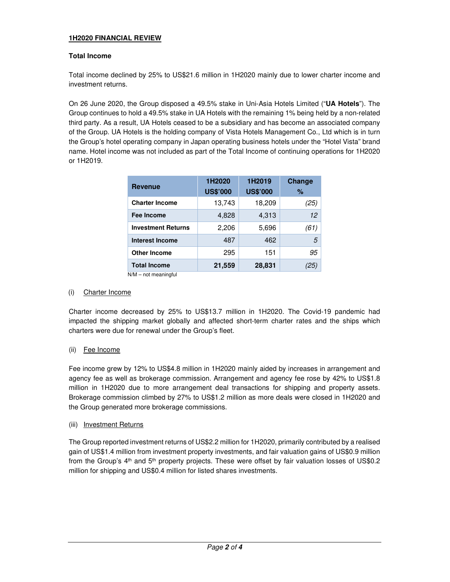## **1H2020 FINANCIAL REVIEW**

## **Total Income**

Total income declined by 25% to US\$21.6 million in 1H2020 mainly due to lower charter income and investment returns.

On 26 June 2020, the Group disposed a 49.5% stake in Uni-Asia Hotels Limited ("**UA Hotels**"). The Group continues to hold a 49.5% stake in UA Hotels with the remaining 1% being held by a non-related third party. As a result, UA Hotels ceased to be a subsidiary and has become an associated company of the Group. UA Hotels is the holding company of Vista Hotels Management Co., Ltd which is in turn the Group's hotel operating company in Japan operating business hotels under the "Hotel Vista" brand name. Hotel income was not included as part of the Total Income of continuing operations for 1H2020 or 1H2019.

| <b>Revenue</b>            | 1H2020<br><b>US\$'000</b> | 1H2019<br><b>US\$'000</b> | <b>Change</b><br>$\%$ |
|---------------------------|---------------------------|---------------------------|-----------------------|
| <b>Charter Income</b>     | 13,743                    | 18,209                    | (25)                  |
| Fee Income                | 4,828                     | 4,313                     | 12                    |
| <b>Investment Returns</b> | 2,206                     | 5,696                     | (61)                  |
| <b>Interest Income</b>    | 487                       | 462                       | 5                     |
| <b>Other Income</b>       | 295                       | 151                       | 95                    |
| <b>Total Income</b>       | 21,559                    | 28,831                    | 25                    |

N/M – not meaningful

#### (i) Charter Income

Charter income decreased by 25% to US\$13.7 million in 1H2020. The Covid-19 pandemic had impacted the shipping market globally and affected short-term charter rates and the ships which charters were due for renewal under the Group's fleet.

#### (ii) Fee Income

Fee income grew by 12% to US\$4.8 million in 1H2020 mainly aided by increases in arrangement and agency fee as well as brokerage commission. Arrangement and agency fee rose by 42% to US\$1.8 million in 1H2020 due to more arrangement deal transactions for shipping and property assets. Brokerage commission climbed by 27% to US\$1.2 million as more deals were closed in 1H2020 and the Group generated more brokerage commissions.

#### (iii) Investment Returns

The Group reported investment returns of US\$2.2 million for 1H2020, primarily contributed by a realised gain of US\$1.4 million from investment property investments, and fair valuation gains of US\$0.9 million from the Group's 4<sup>th</sup> and 5<sup>th</sup> property projects. These were offset by fair valuation losses of US\$0.2 million for shipping and US\$0.4 million for listed shares investments.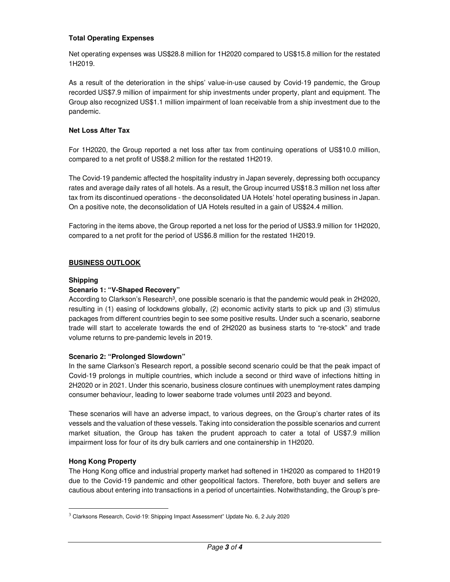## **Total Operating Expenses**

Net operating expenses was US\$28.8 million for 1H2020 compared to US\$15.8 million for the restated 1H2019.

As a result of the deterioration in the ships' value-in-use caused by Covid-19 pandemic, the Group recorded US\$7.9 million of impairment for ship investments under property, plant and equipment. The Group also recognized US\$1.1 million impairment of loan receivable from a ship investment due to the pandemic.

#### **Net Loss After Tax**

For 1H2020, the Group reported a net loss after tax from continuing operations of US\$10.0 million, compared to a net profit of US\$8.2 million for the restated 1H2019.

The Covid-19 pandemic affected the hospitality industry in Japan severely, depressing both occupancy rates and average daily rates of all hotels. As a result, the Group incurred US\$18.3 million net loss after tax from its discontinued operations - the deconsolidated UA Hotels' hotel operating business in Japan. On a positive note, the deconsolidation of UA Hotels resulted in a gain of US\$24.4 million.

Factoring in the items above, the Group reported a net loss for the period of US\$3.9 million for 1H2020, compared to a net profit for the period of US\$6.8 million for the restated 1H2019.

### **BUSINESS OUTLOOK**

#### **Shipping**

## **Scenario 1: "V-Shaped Recovery"**

According to Clarkson's Research<sup>3</sup>, one possible scenario is that the pandemic would peak in 2H2020, resulting in (1) easing of lockdowns globally, (2) economic activity starts to pick up and (3) stimulus packages from different countries begin to see some positive results. Under such a scenario, seaborne trade will start to accelerate towards the end of 2H2020 as business starts to "re-stock" and trade volume returns to pre-pandemic levels in 2019.

#### **Scenario 2: "Prolonged Slowdown"**

In the same Clarkson's Research report, a possible second scenario could be that the peak impact of Covid-19 prolongs in multiple countries, which include a second or third wave of infections hitting in 2H2020 or in 2021. Under this scenario, business closure continues with unemployment rates damping consumer behaviour, leading to lower seaborne trade volumes until 2023 and beyond.

These scenarios will have an adverse impact, to various degrees, on the Group's charter rates of its vessels and the valuation of these vessels. Taking into consideration the possible scenarios and current market situation, the Group has taken the prudent approach to cater a total of US\$7.9 million impairment loss for four of its dry bulk carriers and one containership in 1H2020.

#### **Hong Kong Property**

The Hong Kong office and industrial property market had softened in 1H2020 as compared to 1H2019 due to the Covid-19 pandemic and other geopolitical factors. Therefore, both buyer and sellers are cautious about entering into transactions in a period of uncertainties. Notwithstanding, the Group's pre-

 $3$  Clarksons Research, Covid-19: Shipping Impact Assessment" Update No. 6, 2 July 2020